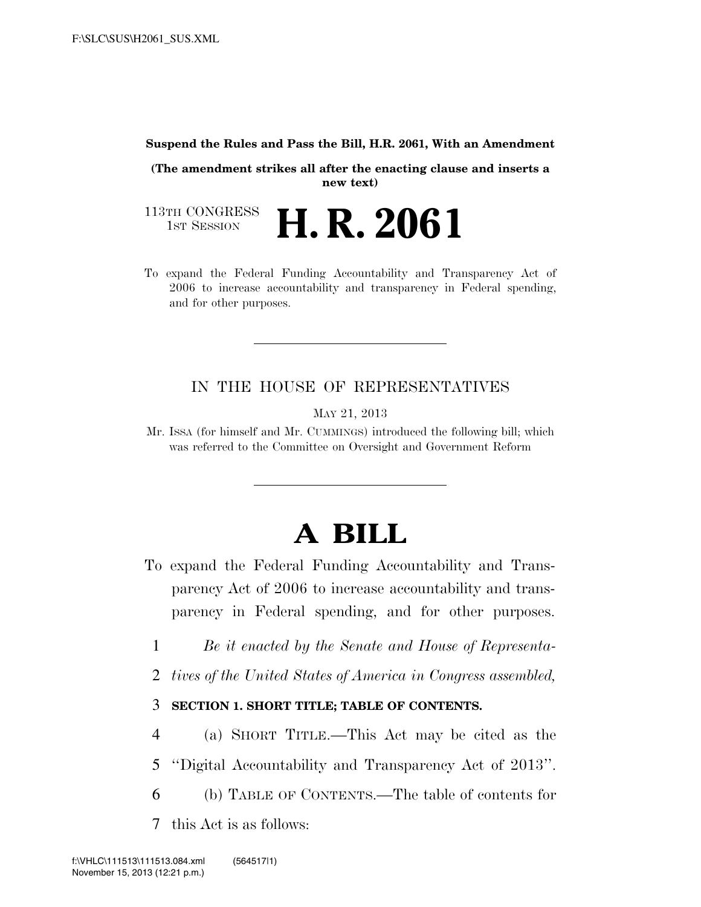#### **Suspend the Rules and Pass the Bill, H.R. 2061, With an Amendment**

**(The amendment strikes all after the enacting clause and inserts a new text)** 

113TH CONGRESS<br>1st Session H. R. 2061

To expand the Federal Funding Accountability and Transparency Act of 2006 to increase accountability and transparency in Federal spending, and for other purposes.

# IN THE HOUSE OF REPRESENTATIVES

MAY 21, 2013

Mr. ISSA (for himself and Mr. CUMMINGS) introduced the following bill; which was referred to the Committee on Oversight and Government Reform

# **A BILL**

- To expand the Federal Funding Accountability and Transparency Act of 2006 to increase accountability and transparency in Federal spending, and for other purposes.
	- 1 *Be it enacted by the Senate and House of Representa-*
	- 2 *tives of the United States of America in Congress assembled,*

# 3 **SECTION 1. SHORT TITLE; TABLE OF CONTENTS.**

- 4 (a) SHORT TITLE.—This Act may be cited as the
- 5 ''Digital Accountability and Transparency Act of 2013''.
- 6 (b) TABLE OF CONTENTS.—The table of contents for
- 7 this Act is as follows: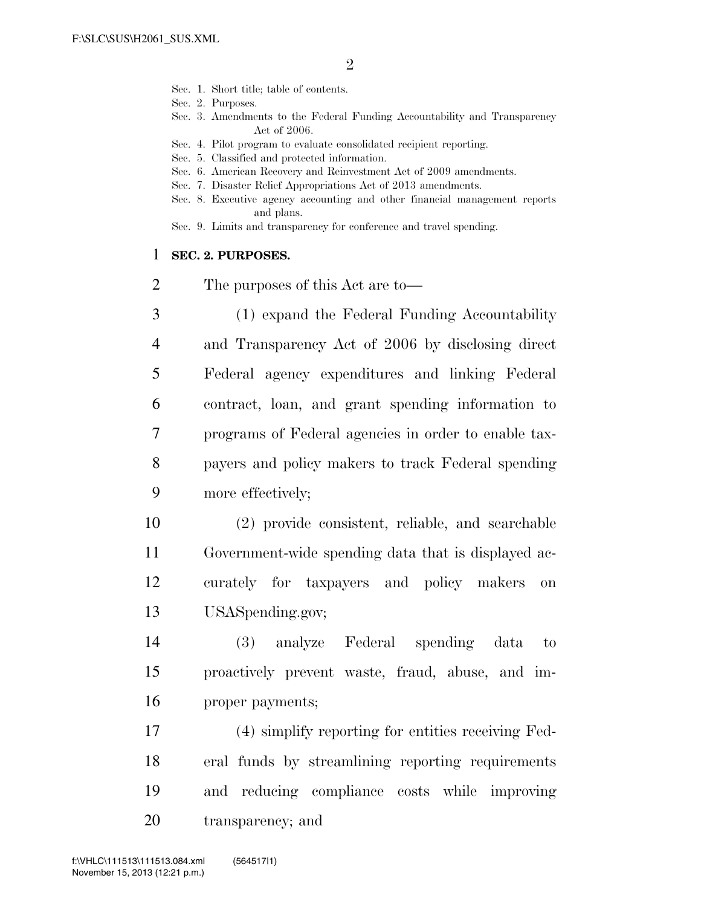- Sec. 1. Short title; table of contents.
- Sec. 2. Purposes.
- Sec. 3. Amendments to the Federal Funding Accountability and Transparency Act of 2006.
- Sec. 4. Pilot program to evaluate consolidated recipient reporting.
- Sec. 5. Classified and protected information.
- Sec. 6. American Recovery and Reinvestment Act of 2009 amendments.
- Sec. 7. Disaster Relief Appropriations Act of 2013 amendments.
- Sec. 8. Executive agency accounting and other financial management reports and plans.
- Sec. 9. Limits and transparency for conference and travel spending.

#### 1 **SEC. 2. PURPOSES.**

- 2 The purposes of this Act are to—
- 3 (1) expand the Federal Funding Accountability 4 and Transparency Act of 2006 by disclosing direct 5 Federal agency expenditures and linking Federal 6 contract, loan, and grant spending information to 7 programs of Federal agencies in order to enable tax-8 payers and policy makers to track Federal spending 9 more effectively;
- 10 (2) provide consistent, reliable, and searchable 11 Government-wide spending data that is displayed ac-12 curately for taxpayers and policy makers on 13 USASpending.gov;
- 14 (3) analyze Federal spending data to 15 proactively prevent waste, fraud, abuse, and im-16 proper payments;
- 17 (4) simplify reporting for entities receiving Fed-18 eral funds by streamlining reporting requirements 19 and reducing compliance costs while improving 20 transparency; and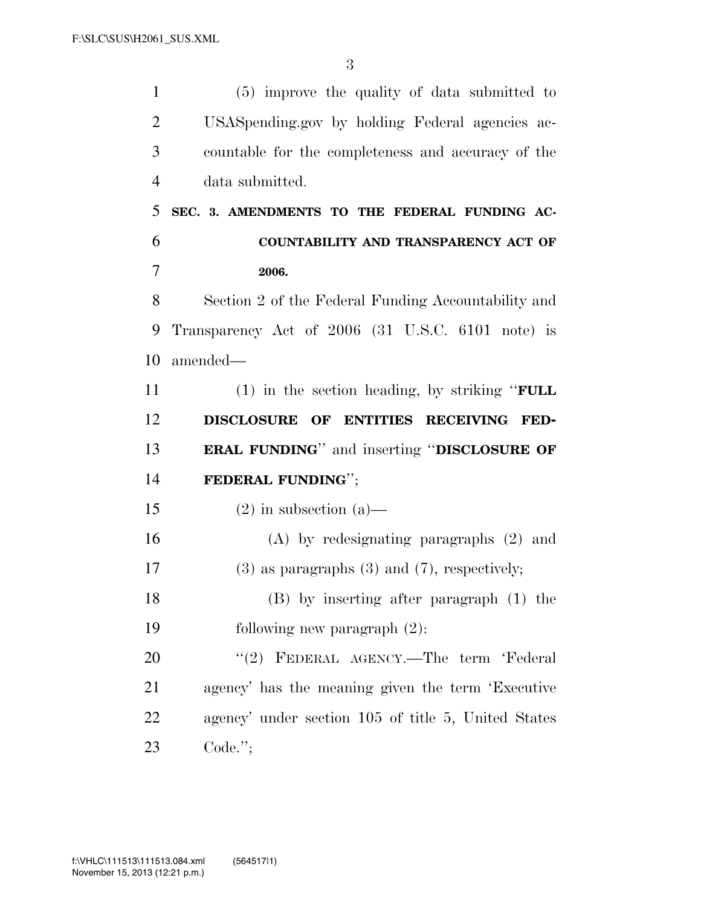(5) improve the quality of data submitted to USASpending.gov by holding Federal agencies ac- countable for the completeness and accuracy of the data submitted. **SEC. 3. AMENDMENTS TO THE FEDERAL FUNDING AC- COUNTABILITY AND TRANSPARENCY ACT OF 2006.**  Section 2 of the Federal Funding Accountability and Transparency Act of 2006 (31 U.S.C. 6101 note) is amended— (1) in the section heading, by striking ''**FULL DISCLOSURE OF ENTITIES RECEIVING FED- ERAL FUNDING**'' and inserting ''**DISCLOSURE OF FEDERAL FUNDING**''; 15 (2) in subsection (a)— (A) by redesignating paragraphs (2) and (3) as paragraphs (3) and (7), respectively; (B) by inserting after paragraph (1) the following new paragraph (2): 20 ''(2) FEDERAL AGENCY.—The term 'Federal agency' has the meaning given the term 'Executive agency' under section 105 of title 5, United States Code.'';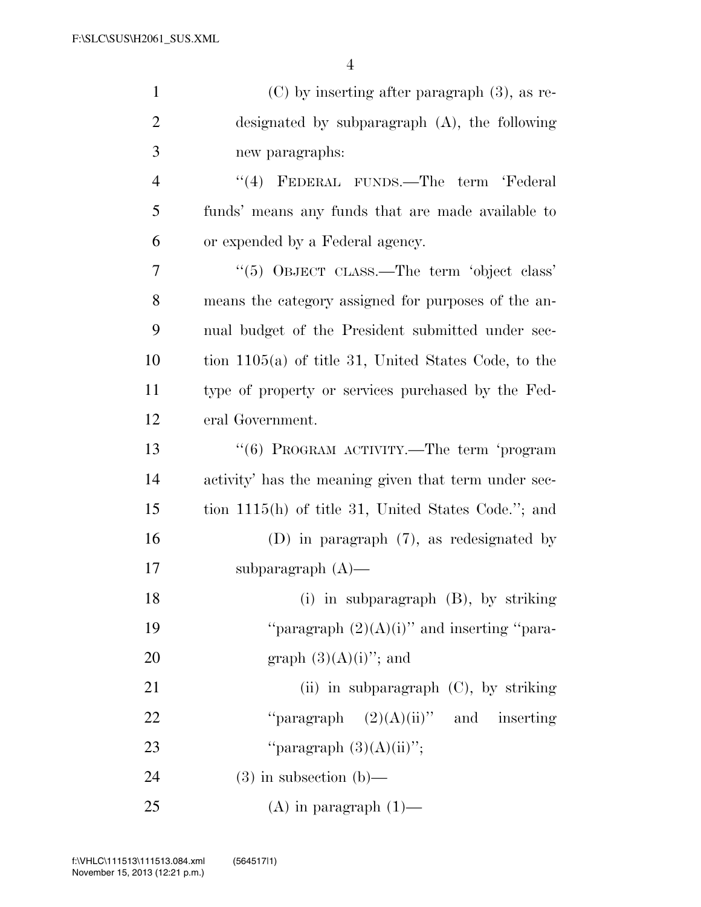| $\mathbf{1}$   | $(C)$ by inserting after paragraph $(3)$ , as re-      |
|----------------|--------------------------------------------------------|
| $\overline{2}$ | designated by subparagraph $(A)$ , the following       |
| 3              | new paragraphs:                                        |
| $\overline{4}$ | "(4) FEDERAL FUNDS.—The term 'Federal                  |
| 5              | funds' means any funds that are made available to      |
| 6              | or expended by a Federal agency.                       |
| 7              | "(5) OBJECT CLASS.—The term 'object class'             |
| 8              | means the category assigned for purposes of the an-    |
| 9              | nual budget of the President submitted under sec-      |
| 10             | tion $1105(a)$ of title 31, United States Code, to the |
| 11             | type of property or services purchased by the Fed-     |
| 12             | eral Government.                                       |
| 13             | "(6) PROGRAM ACTIVITY.—The term 'program               |
| 14             | activity' has the meaning given that term under sec-   |
| 15             | tion 1115(h) of title 31, United States Code."; and    |
| 16             | (D) in paragraph $(7)$ , as redesignated by            |
| 17             | subparagraph $(A)$ —                                   |
| 18             | (i) in subparagraph $(B)$ , by striking                |
| 19             | "paragraph $(2)(A)(i)$ " and inserting "para-          |
| 20             | graph $(3)(A)(i)$ "; and                               |
| 21             | (ii) in subparagraph $(C)$ , by striking               |
| 22             | "paragraph $(2)(A)(ii)$ " and inserting                |
| 23             | "paragraph $(3)(A)(ii)$ ";                             |
| 24             | $(3)$ in subsection $(b)$ —                            |
| 25             | $(A)$ in paragraph $(1)$ —                             |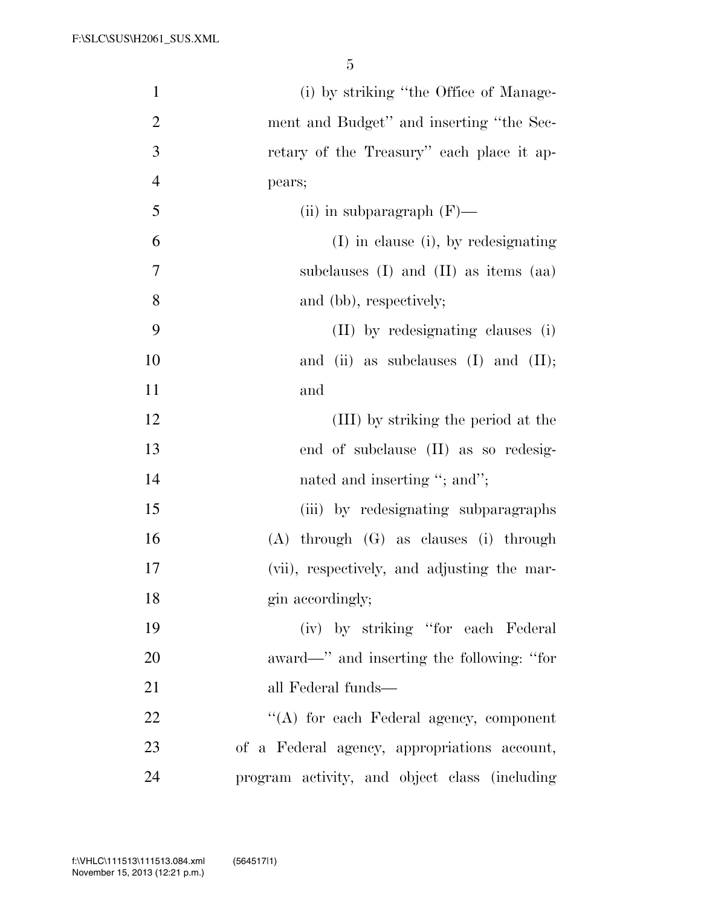| $\mathbf{1}$   | (i) by striking "the Office of Manage-        |
|----------------|-----------------------------------------------|
| $\overline{2}$ | ment and Budget" and inserting "the Sec-      |
| 3              | retary of the Treasury" each place it ap-     |
| $\overline{4}$ | pears;                                        |
| 5              | (ii) in subparagraph $(F)$ —                  |
| 6              | $(I)$ in clause (i), by redesignating         |
| $\tau$         | subclauses $(I)$ and $(II)$ as items $(aa)$   |
| 8              | and (bb), respectively;                       |
| 9              | (II) by redesignating clauses (i)             |
| 10             | and (ii) as subclauses $(I)$ and $(II)$ ;     |
| 11             | and                                           |
| 12             | (III) by striking the period at the           |
| 13             | end of subclause (II) as so redesig-          |
| 14             | nated and inserting "; and";                  |
| 15             | (iii) by redesignating subparagraphs          |
| 16             | $(A)$ through $(G)$ as clauses $(i)$ through  |
| 17             | (vii), respectively, and adjusting the mar-   |
| 18             | gin accordingly;                              |
| 19             | (iv) by striking "for each Federal            |
| 20             | award—" and inserting the following: "for     |
| 21             | all Federal funds—                            |
| 22             | "(A) for each Federal agency, component       |
| 23             | of a Federal agency, appropriations account,  |
| 24             | program activity, and object class (including |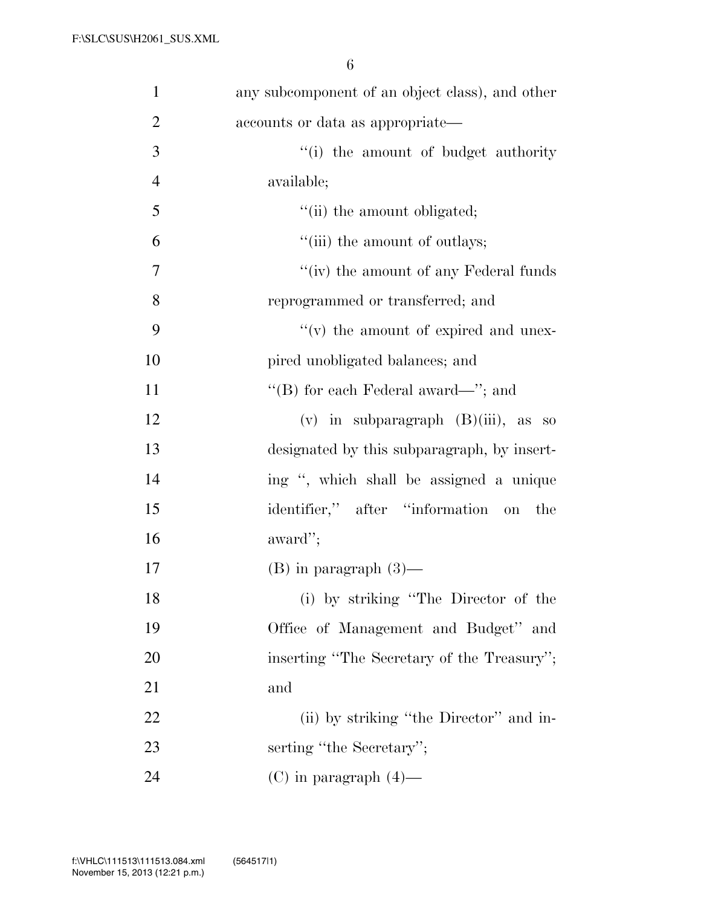| $\mathbf{1}$   | any subcomponent of an object class), and other |
|----------------|-------------------------------------------------|
| $\overline{2}$ | accounts or data as appropriate—                |
| 3              | "(i) the amount of budget authority"            |
| $\overline{4}$ | available;                                      |
| 5              | "(ii) the amount obligated;                     |
| 6              | "(iii) the amount of outlays;                   |
| $\tau$         | "(iv) the amount of any Federal funds           |
| 8              | reprogrammed or transferred; and                |
| 9              | "(v) the amount of expired and unex-            |
| 10             | pired unobligated balances; and                 |
| 11             | "(B) for each Federal award—"; and              |
| 12             | $(v)$ in subparagraph $(B)(iii)$ , as so        |
| 13             | designated by this subparagraph, by insert-     |
| 14             | ing ", which shall be assigned a unique         |
| 15             | identifier," after "information on<br>the       |
| 16             | award";                                         |
| 17             | $(B)$ in paragraph $(3)$ —                      |
| 18             | (i) by striking "The Director of the            |
| 19             | Office of Management and Budget" and            |
| 20             | inserting "The Secretary of the Treasury";      |
| 21             | and                                             |
| 22             | (ii) by striking "the Director" and in-         |
| 23             | serting "the Secretary";                        |
| 24             | $(C)$ in paragraph $(4)$ —                      |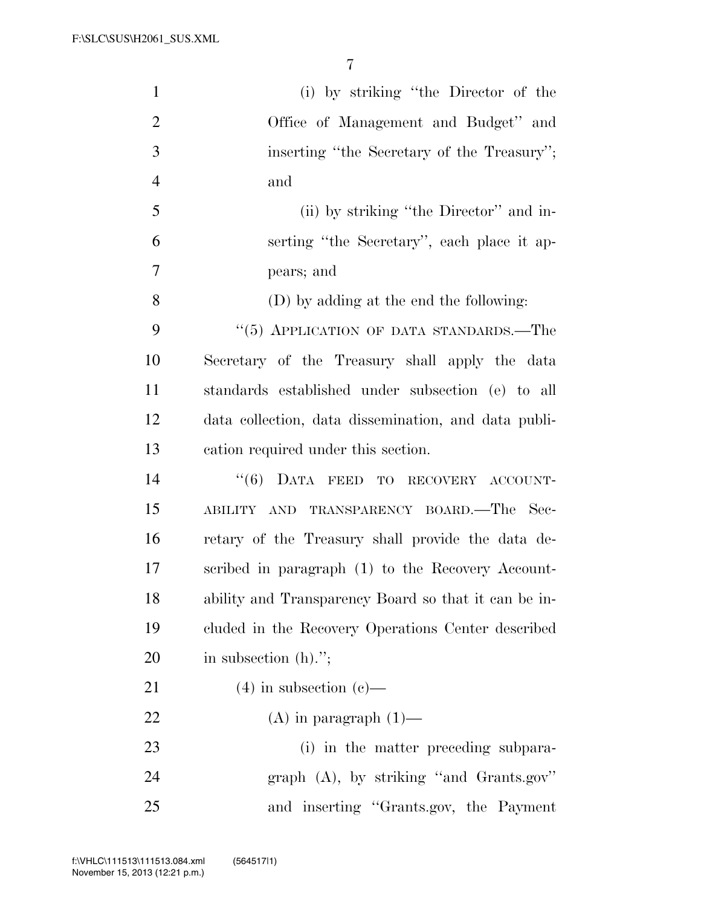| $\mathbf{1}$   | (i) by striking "the Director of the                 |
|----------------|------------------------------------------------------|
| $\overline{2}$ | Office of Management and Budget" and                 |
| 3              | inserting "the Secretary of the Treasury";           |
| $\overline{4}$ | and                                                  |
| 5              | (ii) by striking "the Director" and in-              |
| 6              | serting "the Secretary", each place it ap-           |
| 7              | pears; and                                           |
| 8              | (D) by adding at the end the following:              |
| 9              | "(5) APPLICATION OF DATA STANDARDS.—The              |
| 10             | Secretary of the Treasury shall apply the data       |
| 11             | standards established under subsection (e) to all    |
| 12             | data collection, data dissemination, and data publi- |
| 13             | cation required under this section.                  |
| 14             | "(6) DATA FEED TO RECOVERY ACCOUNT-                  |
| 15             | ABILITY AND TRANSPARENCY BOARD.—The Sec-             |
| 16             | retary of the Treasury shall provide the data de-    |
| 17             | scribed in paragraph (1) to the Recovery Account-    |
| 18             | ability and Transparency Board so that it can be in- |
| 19             | cluded in the Recovery Operations Center described   |
| 20             | in subsection $(h)$ .";                              |
| 21             | $(4)$ in subsection $(e)$ —                          |
| 22             | $(A)$ in paragraph $(1)$ —                           |
| 23             | (i) in the matter preceding subpara-                 |
| 24             | graph $(A)$ , by striking "and Grants.gov"           |
| 25             | and inserting "Grants.gov, the Payment               |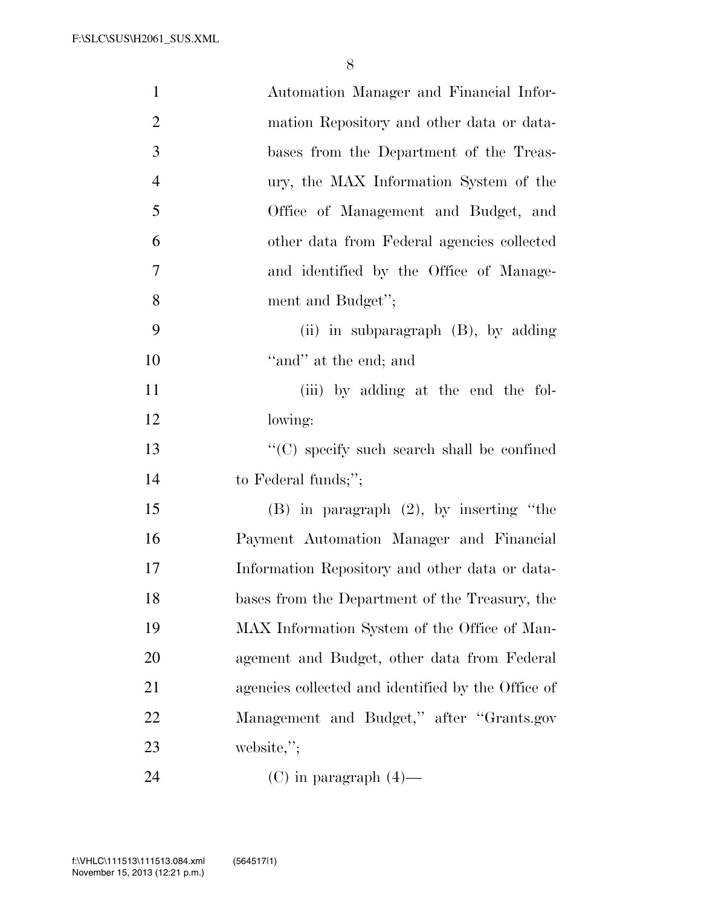| $\mathbf{1}$   | Automation Manager and Financial Infor-            |
|----------------|----------------------------------------------------|
| $\overline{2}$ | mation Repository and other data or data-          |
| 3              | bases from the Department of the Treas-            |
| $\overline{4}$ | ury, the MAX Information System of the             |
| 5              | Office of Management and Budget, and               |
| 6              | other data from Federal agencies collected         |
| $\tau$         | and identified by the Office of Manage-            |
| 8              | ment and Budget";                                  |
| 9              | (ii) in subparagraph $(B)$ , by adding             |
| 10             | "and" at the end; and                              |
| 11             | (iii) by adding at the end the fol-                |
| 12             | lowing:                                            |
| 13             | "(C) specify such search shall be confined         |
| 14             | to Federal funds;";                                |
| 15             | $(B)$ in paragraph $(2)$ , by inserting "the       |
| 16             | Payment Automation Manager and Financial           |
| 17             | Information Repository and other data or data-     |
| 18             | bases from the Department of the Treasury, the     |
| 19             | MAX Information System of the Office of Man-       |
| 20             | agement and Budget, other data from Federal        |
| 21             | agencies collected and identified by the Office of |
| 22             | Management and Budget," after "Grants.gov          |
| 23             | website,";                                         |
| 24             | $(C)$ in paragraph $(4)$ —                         |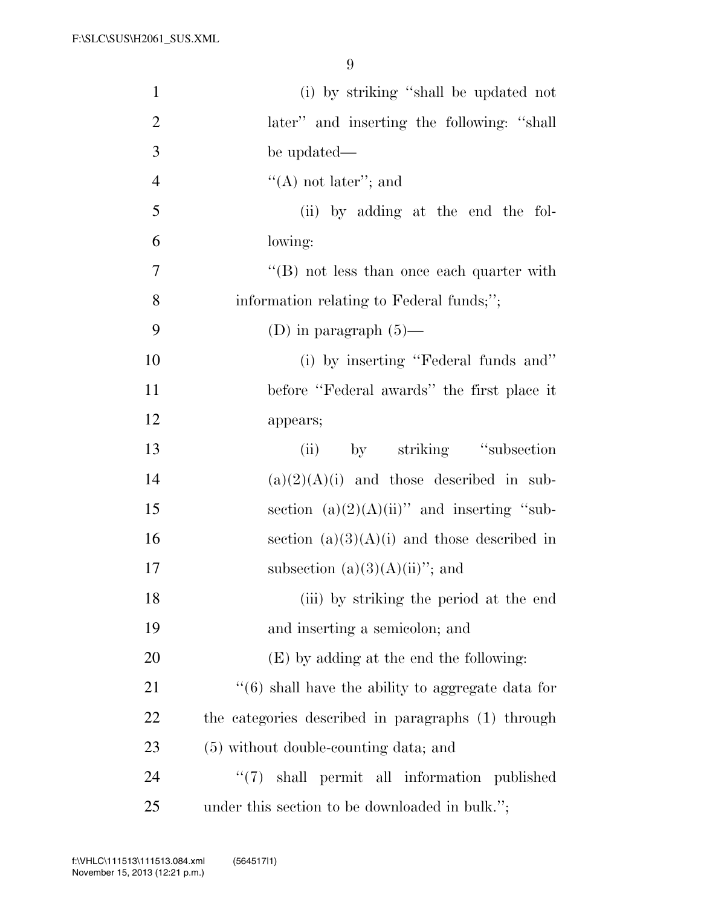| $\mathbf{1}$   | (i) by striking "shall be updated not                |
|----------------|------------------------------------------------------|
| $\overline{2}$ | later" and inserting the following: "shall           |
| 3              | be updated—                                          |
| $\overline{4}$ | $\lq\lq$ not later''; and                            |
| 5              | (ii) by adding at the end the fol-                   |
| 6              | lowing:                                              |
| $\overline{7}$ | "(B) not less than once each quarter with            |
| 8              | information relating to Federal funds;";             |
| 9              | (D) in paragraph $(5)$ —                             |
| 10             | (i) by inserting "Federal funds and"                 |
| 11             | before "Federal awards" the first place it           |
| 12             | appears;                                             |
| 13             | by striking "subsection"<br>(ii)                     |
| 14             | $(a)(2)(A)(i)$ and those described in sub-           |
| 15             | section $(a)(2)(A)(ii)$ " and inserting "sub-        |
| 16             | section $(a)(3)(A)(i)$ and those described in        |
| 17             | subsection $(a)(3)(A)(ii)$ "; and                    |
| 18             | (iii) by striking the period at the end              |
| 19             | and inserting a semicolon; and                       |
| 20             | (E) by adding at the end the following:              |
| 21             | $``(6)$ shall have the ability to aggregate data for |
| 22             | the categories described in paragraphs (1) through   |
| 23             | (5) without double-counting data; and                |
| 24             | "(7) shall permit all information published          |
| 25             | under this section to be downloaded in bulk.";       |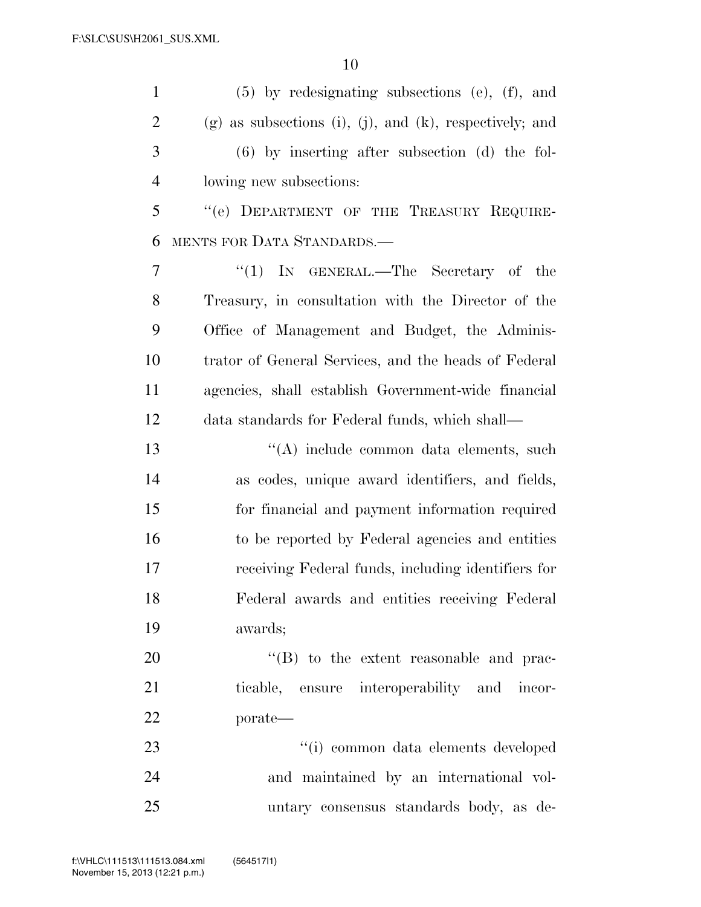| $\mathbf{1}$   | $(5)$ by redesignating subsections (e), (f), and          |
|----------------|-----------------------------------------------------------|
| $\overline{2}$ | $(g)$ as subsections (i), (j), and (k), respectively; and |
| 3              | $(6)$ by inserting after subsection $(d)$ the fol-        |
| $\overline{4}$ | lowing new subsections:                                   |
| 5              | "(e) DEPARTMENT OF THE TREASURY REQUIRE-                  |
| 6              | MENTS FOR DATA STANDARDS.—                                |
| $\tau$         | "(1) IN GENERAL.—The Secretary of the                     |
| 8              | Treasury, in consultation with the Director of the        |
| 9              | Office of Management and Budget, the Adminis-             |
| 10             | trator of General Services, and the heads of Federal      |
| 11             | agencies, shall establish Government-wide financial       |
| 12             | data standards for Federal funds, which shall—            |
| 13             | "(A) include common data elements, such                   |
| 14             | as codes, unique award identifiers, and fields,           |
| 15             | for financial and payment information required            |
| 16             | to be reported by Federal agencies and entities           |
| 17             | receiving Federal funds, including identifiers for        |
| 18             | Federal awards and entities receiving Federal             |
| 19             | awards;                                                   |
| 20             | $\lq\lq (B)$ to the extent reasonable and prac-           |
| 21             | ticable, ensure interoperability and incor-               |
| 22             | porate-                                                   |
| 23             | "(i) common data elements developed                       |
| 24             | and maintained by an international vol-                   |
| 25             | untary consensus standards body, as de-                   |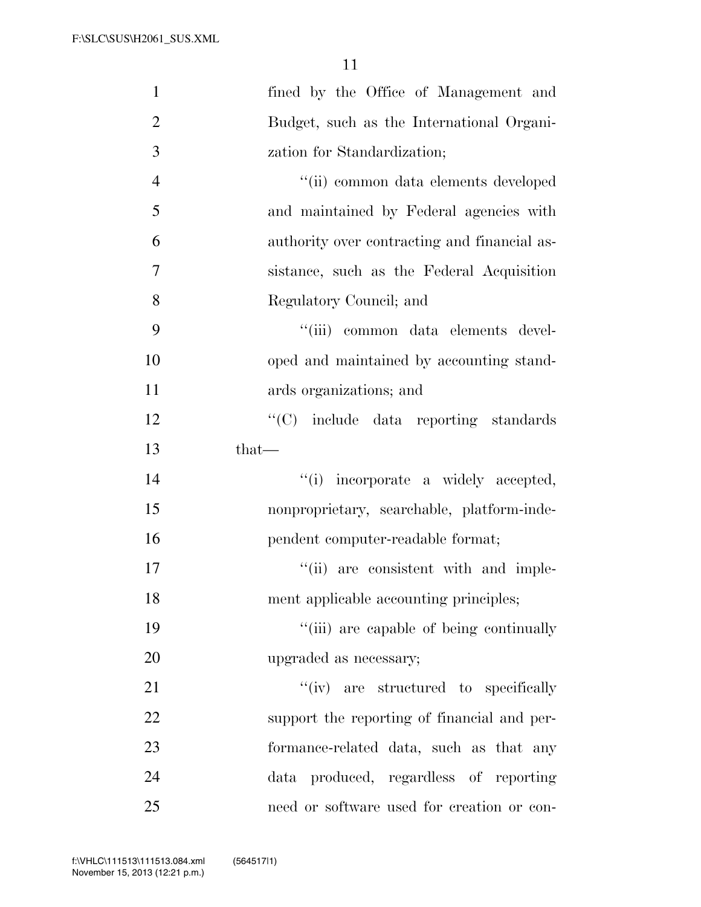| $\mathbf{1}$   | fined by the Office of Management and        |
|----------------|----------------------------------------------|
| $\overline{2}$ | Budget, such as the International Organi-    |
| 3              | zation for Standardization;                  |
| $\overline{4}$ | "(ii) common data elements developed         |
| 5              | and maintained by Federal agencies with      |
| 6              | authority over contracting and financial as- |
| 7              | sistance, such as the Federal Acquisition    |
| 8              | Regulatory Council; and                      |
| 9              | "(iii) common data elements devel-           |
| 10             | oped and maintained by accounting stand-     |
| 11             | ards organizations; and                      |
| 12             | "(C) include data reporting standards        |
| 13             | that-                                        |
| 14             | "(i) incorporate a widely accepted,          |
| 15             | nonproprietary, searchable, platform-inde-   |
| 16             | pendent computer-readable format;            |
| 17             | "(ii) are consistent with and imple-         |
| 18             | ment applicable accounting principles;       |
| 19             | "(iii) are capable of being continually      |
| 20             | upgraded as necessary;                       |
| 21             | "(iv) are structured to specifically         |
| 22             | support the reporting of financial and per-  |
| 23             | formance-related data, such as that any      |
| 24             | data produced, regardless of reporting       |
| 25             | need or software used for creation or con-   |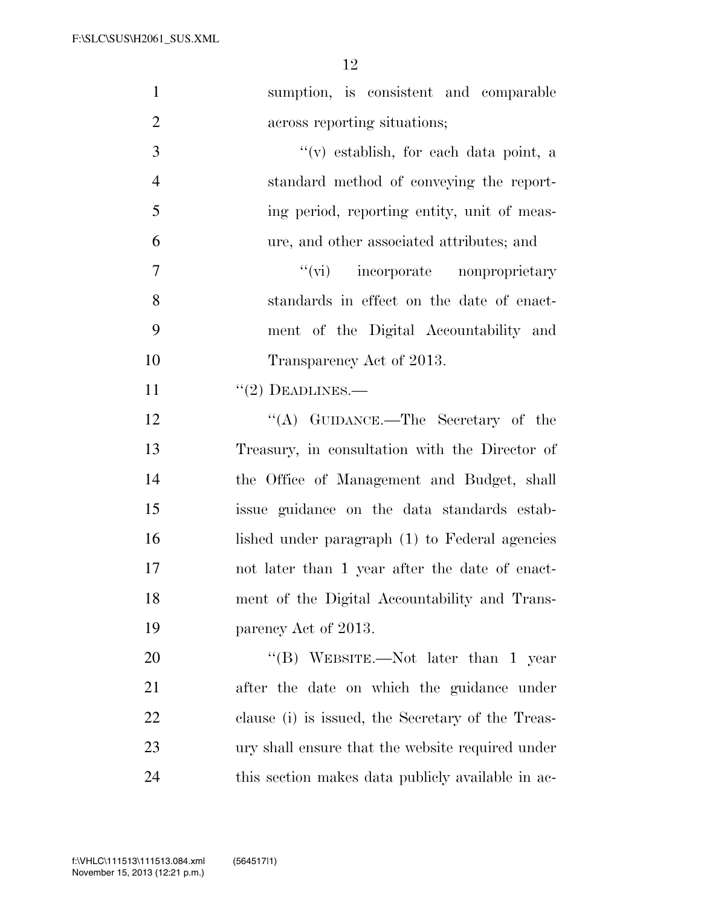| $\mathbf{1}$   | sumption, is consistent and comparable            |
|----------------|---------------------------------------------------|
| $\overline{2}$ | across reporting situations;                      |
| 3              | $f'(v)$ establish, for each data point, a         |
| $\overline{4}$ | standard method of conveying the report-          |
| 5              | ing period, reporting entity, unit of meas-       |
| 6              | ure, and other associated attributes; and         |
| $\overline{7}$ | "(vi) incorporate nonproprietary                  |
| 8              | standards in effect on the date of enact-         |
| 9              | ment of the Digital Accountability and            |
| 10             | Transparency Act of 2013.                         |
| 11             | $"(2)$ DEADLINES.—                                |
| 12             | "(A) GUIDANCE.—The Secretary of the               |
| 13             | Treasury, in consultation with the Director of    |
| 14             | the Office of Management and Budget, shall        |
| 15             | issue guidance on the data standards estab-       |
| 16             | lished under paragraph (1) to Federal agencies    |
| 17             | not later than 1 year after the date of enact-    |
| 18             | ment of the Digital Accountability and Trans-     |
| 19             | parency Act of 2013.                              |
| 20             | "(B) WEBSITE.—Not later than 1 year               |
| 21             | after the date on which the guidance under        |
| 22             | clause (i) is issued, the Secretary of the Treas- |
| 23             | ury shall ensure that the website required under  |
| 24             | this section makes data publicly available in ac- |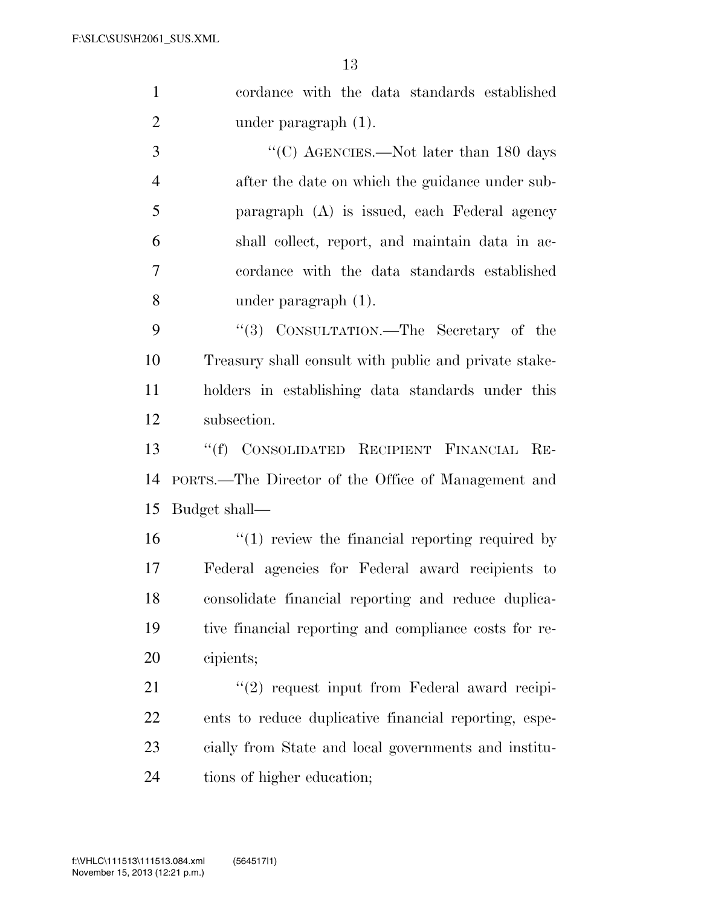cordance with the data standards established 2 under paragraph (1).

 $\cdot$  (C) AGENCIES.—Not later than 180 days after the date on which the guidance under sub- paragraph (A) is issued, each Federal agency shall collect, report, and maintain data in ac- cordance with the data standards established under paragraph (1).

9 "(3) CONSULTATION.—The Secretary of the Treasury shall consult with public and private stake- holders in establishing data standards under this subsection.

 ''(f) CONSOLIDATED RECIPIENT FINANCIAL RE- PORTS.—The Director of the Office of Management and Budget shall—

16 "(1) review the financial reporting required by Federal agencies for Federal award recipients to consolidate financial reporting and reduce duplica- tive financial reporting and compliance costs for re-cipients;

 $\frac{1}{21}$  ''(2) request input from Federal award recipi- ents to reduce duplicative financial reporting, espe- cially from State and local governments and institu-tions of higher education;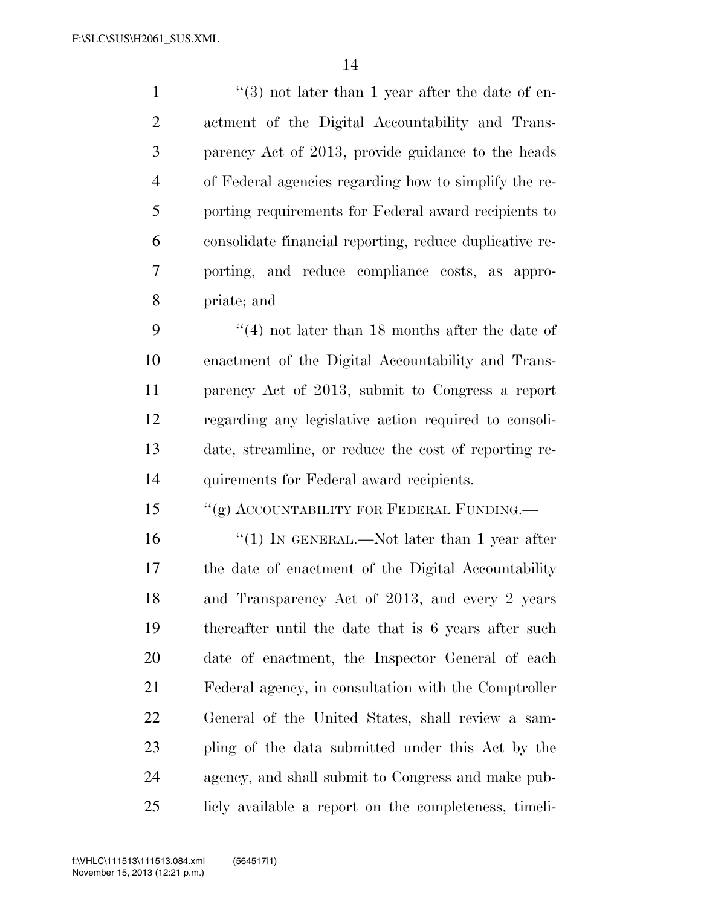1 ''(3) not later than 1 year after the date of en- actment of the Digital Accountability and Trans- parency Act of 2013, provide guidance to the heads of Federal agencies regarding how to simplify the re- porting requirements for Federal award recipients to consolidate financial reporting, reduce duplicative re- porting, and reduce compliance costs, as appro-priate; and

 ''(4) not later than 18 months after the date of enactment of the Digital Accountability and Trans- parency Act of 2013, submit to Congress a report regarding any legislative action required to consoli- date, streamline, or reduce the cost of reporting re-quirements for Federal award recipients.

15 "(g) ACCOUNTABILITY FOR FEDERAL FUNDING.—

16 "(1) IN GENERAL.—Not later than 1 year after the date of enactment of the Digital Accountability and Transparency Act of 2013, and every 2 years thereafter until the date that is 6 years after such date of enactment, the Inspector General of each Federal agency, in consultation with the Comptroller General of the United States, shall review a sam- pling of the data submitted under this Act by the agency, and shall submit to Congress and make pub-licly available a report on the completeness, timeli-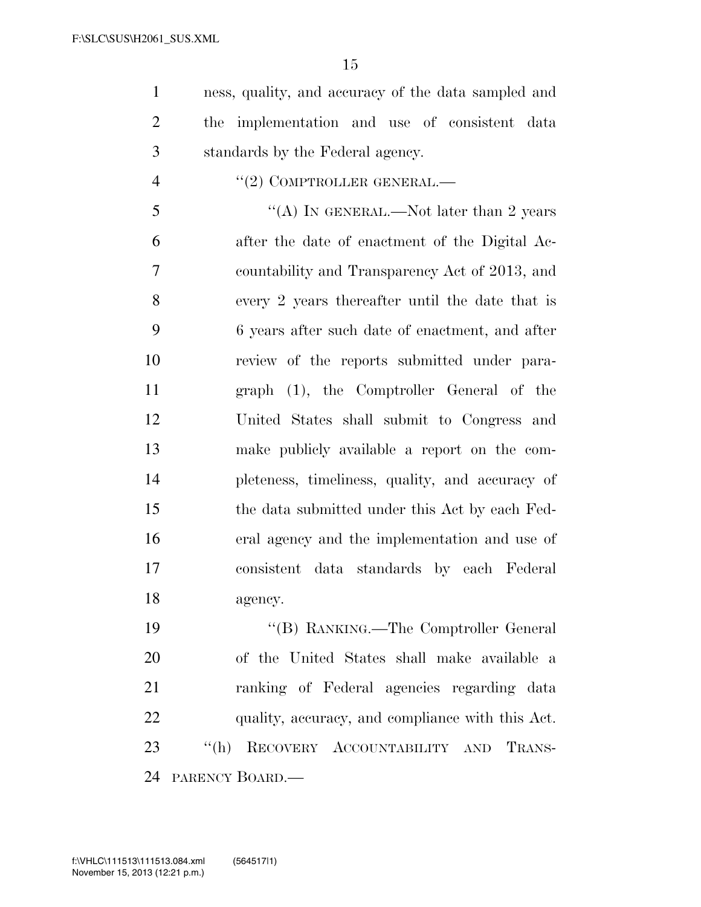ness, quality, and accuracy of the data sampled and the implementation and use of consistent data standards by the Federal agency.

4  $''(2)$  COMPTROLLER GENERAL.—

 $\mathfrak{S}$  ''(A) IN GENERAL.—Not later than 2 years after the date of enactment of the Digital Ac- countability and Transparency Act of 2013, and every 2 years thereafter until the date that is 6 years after such date of enactment, and after review of the reports submitted under para- graph (1), the Comptroller General of the United States shall submit to Congress and make publicly available a report on the com- pleteness, timeliness, quality, and accuracy of the data submitted under this Act by each Fed- eral agency and the implementation and use of consistent data standards by each Federal agency.

 ''(B) RANKING.—The Comptroller General of the United States shall make available a ranking of Federal agencies regarding data quality, accuracy, and compliance with this Act. ''(h) RECOVERY ACCOUNTABILITY AND TRANS-PARENCY BOARD.—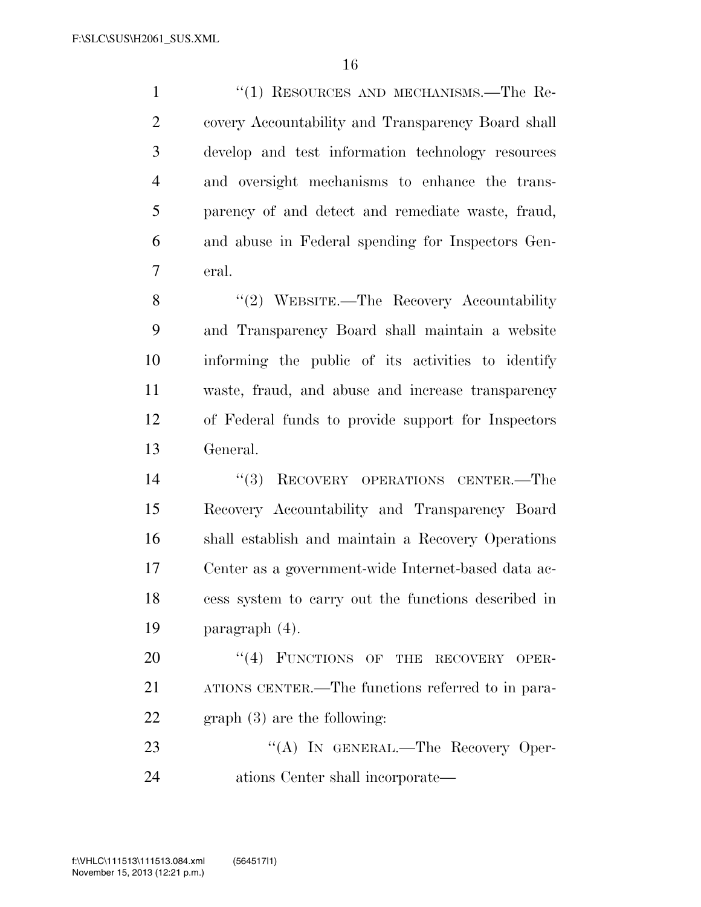1 "(1) RESOURCES AND MECHANISMS.—The Re- covery Accountability and Transparency Board shall develop and test information technology resources and oversight mechanisms to enhance the trans- parency of and detect and remediate waste, fraud, and abuse in Federal spending for Inspectors Gen-eral.

8 "(2) WEBSITE.—The Recovery Accountability and Transparency Board shall maintain a website informing the public of its activities to identify waste, fraud, and abuse and increase transparency of Federal funds to provide support for Inspectors General.

14 "(3) RECOVERY OPERATIONS CENTER.—The Recovery Accountability and Transparency Board shall establish and maintain a Recovery Operations Center as a government-wide Internet-based data ac- cess system to carry out the functions described in paragraph (4).

20 "(4) FUNCTIONS OF THE RECOVERY OPER- ATIONS CENTER.—The functions referred to in para-graph (3) are the following:

23 "(A) IN GENERAL.—The Recovery Oper-ations Center shall incorporate—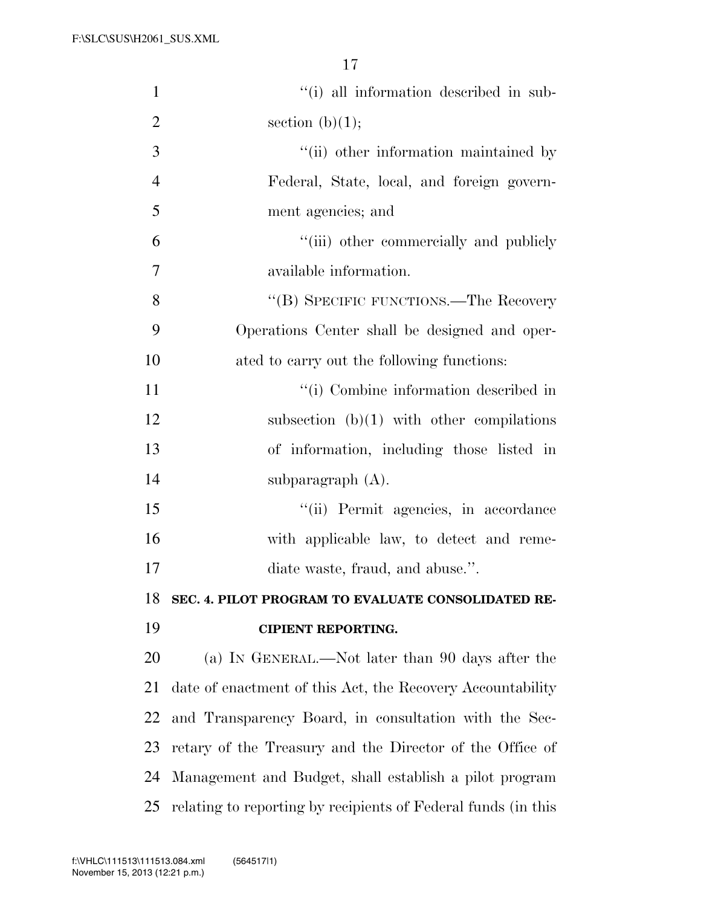| $\mathbf{1}$   | "(i) all information described in sub-                        |
|----------------|---------------------------------------------------------------|
| $\overline{2}$ | section $(b)(1);$                                             |
| 3              | "(ii) other information maintained by                         |
| $\overline{4}$ | Federal, State, local, and foreign govern-                    |
| 5              | ment agencies; and                                            |
| 6              | "(iii) other commercially and publicly                        |
| 7              | available information.                                        |
| 8              | "(B) SPECIFIC FUNCTIONS.—The Recovery                         |
| 9              | Operations Center shall be designed and oper-                 |
| 10             | ated to carry out the following functions:                    |
| 11             | "(i) Combine information described in                         |
| 12             | subsection $(b)(1)$ with other compilations                   |
| 13             | of information, including those listed in                     |
| 14             | subparagraph $(A)$ .                                          |
| 15             | "(ii) Permit agencies, in accordance                          |
| 16             | with applicable law, to detect and reme-                      |
| 17             | diate waste, fraud, and abuse.".                              |
| 18             | SEC. 4. PILOT PROGRAM TO EVALUATE CONSOLIDATED RE-            |
| 19             | <b>CIPIENT REPORTING.</b>                                     |
| 20             | (a) IN GENERAL.—Not later than 90 days after the              |
| 21             | date of enactment of this Act, the Recovery Accountability    |
| 22             | and Transparency Board, in consultation with the Sec-         |
| 23             | retary of the Treasury and the Director of the Office of      |
| 24             | Management and Budget, shall establish a pilot program        |
| 25             | relating to reporting by recipients of Federal funds (in this |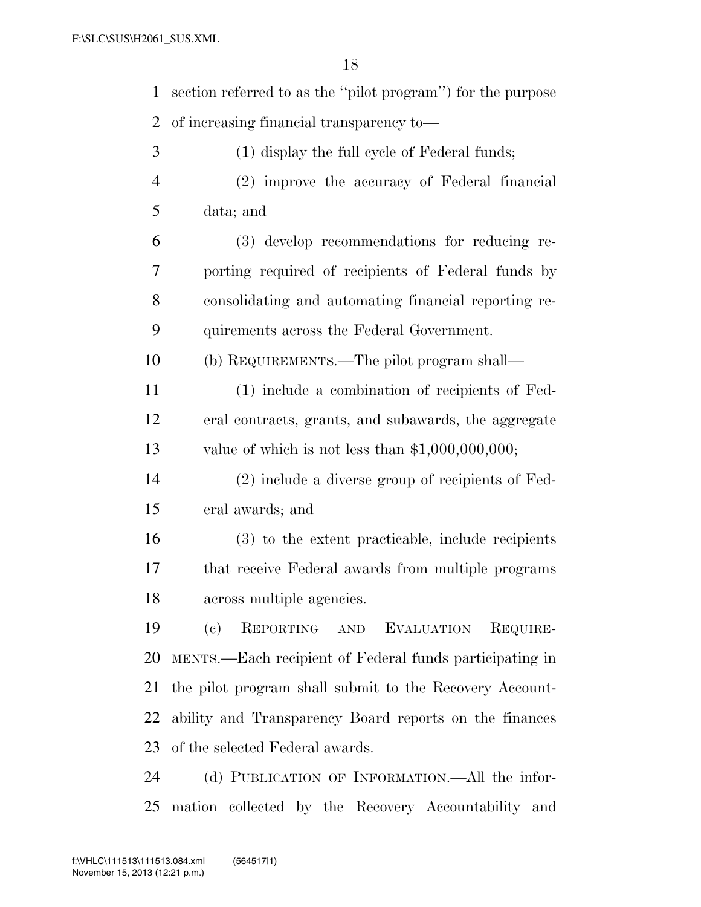section referred to as the ''pilot program'') for the purpose of increasing financial transparency to— (1) display the full cycle of Federal funds; (2) improve the accuracy of Federal financial data; and (3) develop recommendations for reducing re- porting required of recipients of Federal funds by consolidating and automating financial reporting re- quirements across the Federal Government. (b) REQUIREMENTS.—The pilot program shall— (1) include a combination of recipients of Fed- eral contracts, grants, and subawards, the aggregate value of which is not less than \$1,000,000,000; (2) include a diverse group of recipients of Fed- eral awards; and (3) to the extent practicable, include recipients that receive Federal awards from multiple programs across multiple agencies. (c) REPORTING AND EVALUATION REQUIRE- MENTS.—Each recipient of Federal funds participating in the pilot program shall submit to the Recovery Account- ability and Transparency Board reports on the finances of the selected Federal awards. (d) PUBLICATION OF INFORMATION.—All the infor-mation collected by the Recovery Accountability and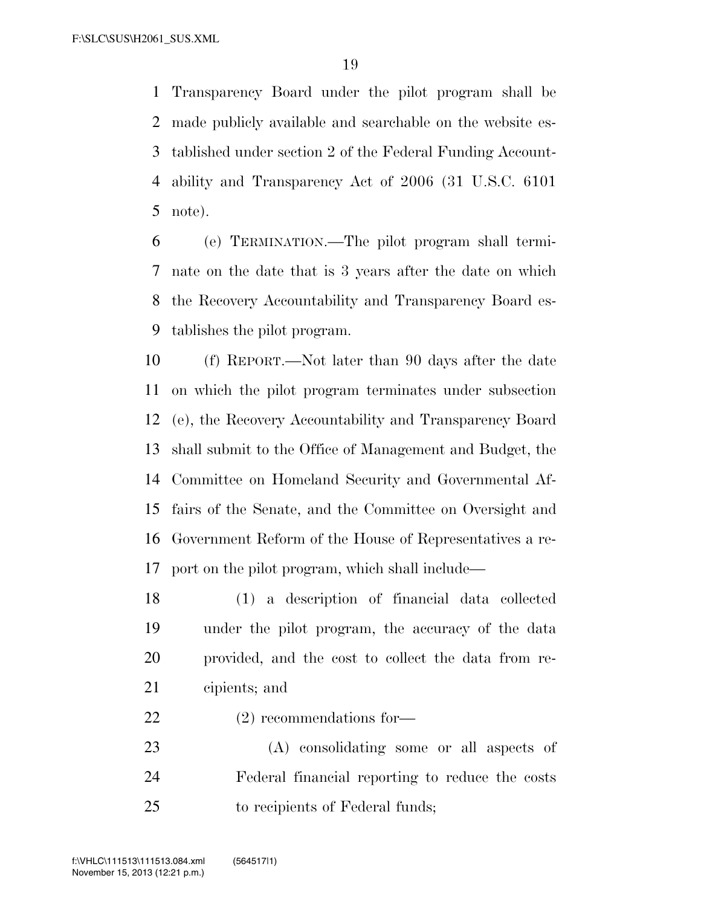Transparency Board under the pilot program shall be made publicly available and searchable on the website es- tablished under section 2 of the Federal Funding Account- ability and Transparency Act of 2006 (31 U.S.C. 6101 note).

 (e) TERMINATION.—The pilot program shall termi- nate on the date that is 3 years after the date on which the Recovery Accountability and Transparency Board es-tablishes the pilot program.

 (f) REPORT.—Not later than 90 days after the date on which the pilot program terminates under subsection (e), the Recovery Accountability and Transparency Board shall submit to the Office of Management and Budget, the Committee on Homeland Security and Governmental Af- fairs of the Senate, and the Committee on Oversight and Government Reform of the House of Representatives a re-port on the pilot program, which shall include—

 (1) a description of financial data collected under the pilot program, the accuracy of the data provided, and the cost to collect the data from re-cipients; and

(2) recommendations for—

 (A) consolidating some or all aspects of Federal financial reporting to reduce the costs to recipients of Federal funds;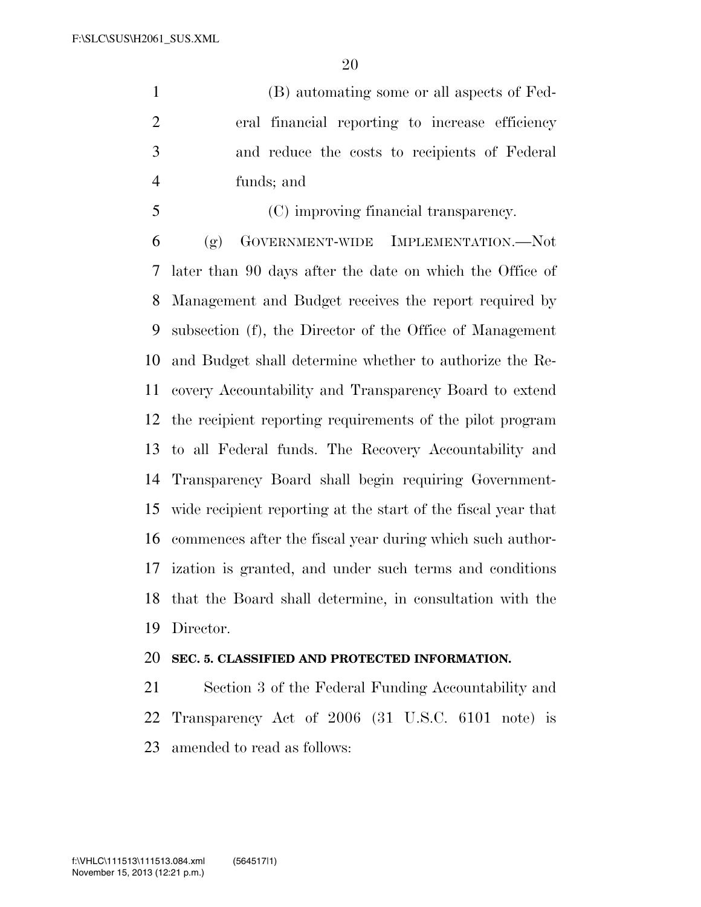(B) automating some or all aspects of Fed- eral financial reporting to increase efficiency and reduce the costs to recipients of Federal funds; and

(C) improving financial transparency.

 (g) GOVERNMENT-WIDE IMPLEMENTATION.—Not later than 90 days after the date on which the Office of Management and Budget receives the report required by subsection (f), the Director of the Office of Management and Budget shall determine whether to authorize the Re- covery Accountability and Transparency Board to extend the recipient reporting requirements of the pilot program to all Federal funds. The Recovery Accountability and Transparency Board shall begin requiring Government- wide recipient reporting at the start of the fiscal year that commences after the fiscal year during which such author- ization is granted, and under such terms and conditions that the Board shall determine, in consultation with the Director.

## **SEC. 5. CLASSIFIED AND PROTECTED INFORMATION.**

 Section 3 of the Federal Funding Accountability and Transparency Act of 2006 (31 U.S.C. 6101 note) is amended to read as follows: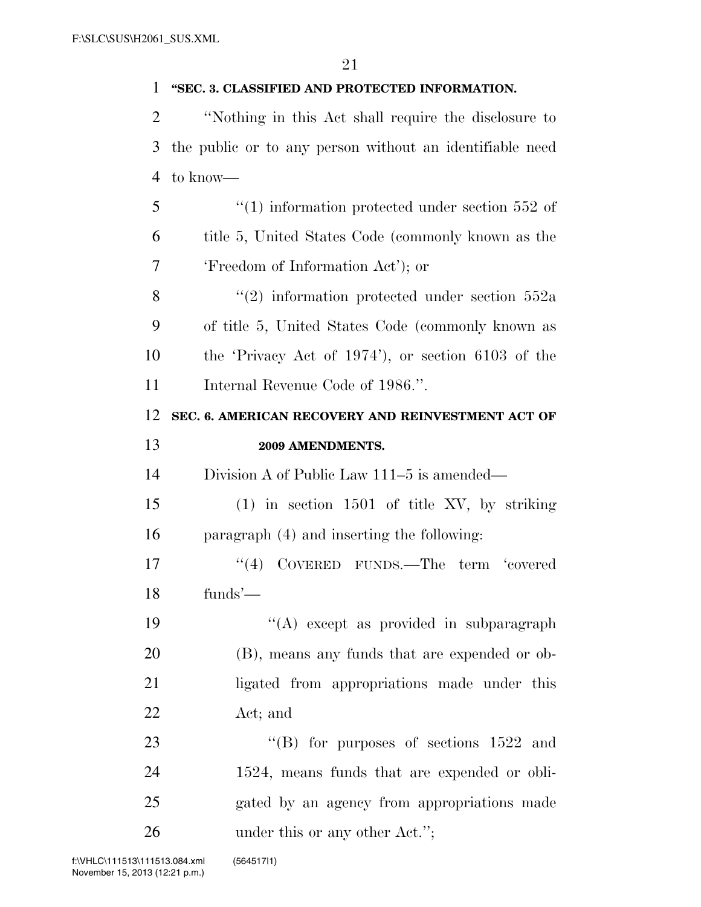### **''SEC. 3. CLASSIFIED AND PROTECTED INFORMATION.**

 ''Nothing in this Act shall require the disclosure to the public or to any person without an identifiable need to know—

5  $\frac{1}{1}$  information protected under section 552 of title 5, United States Code (commonly known as the 'Freedom of Information Act'); or

8 "(2) information protected under section 552a of title 5, United States Code (commonly known as the 'Privacy Act of 1974'), or section 6103 of the 11 Internal Revenue Code of 1986.".

# **SEC. 6. AMERICAN RECOVERY AND REINVESTMENT ACT OF 2009 AMENDMENTS.**

Division A of Public Law 111–5 is amended—

 (1) in section 1501 of title XV, by striking paragraph (4) and inserting the following:

17 ''(4) COVERED FUNDS.—The term 'covered funds'—

19 ''(A) except as provided in subparagraph (B), means any funds that are expended or ob-21 ligated from appropriations made under this Act; and

23 "'(B) for purposes of sections 1522 and 1524, means funds that are expended or obli- gated by an agency from appropriations made 26 under this or any other Act.";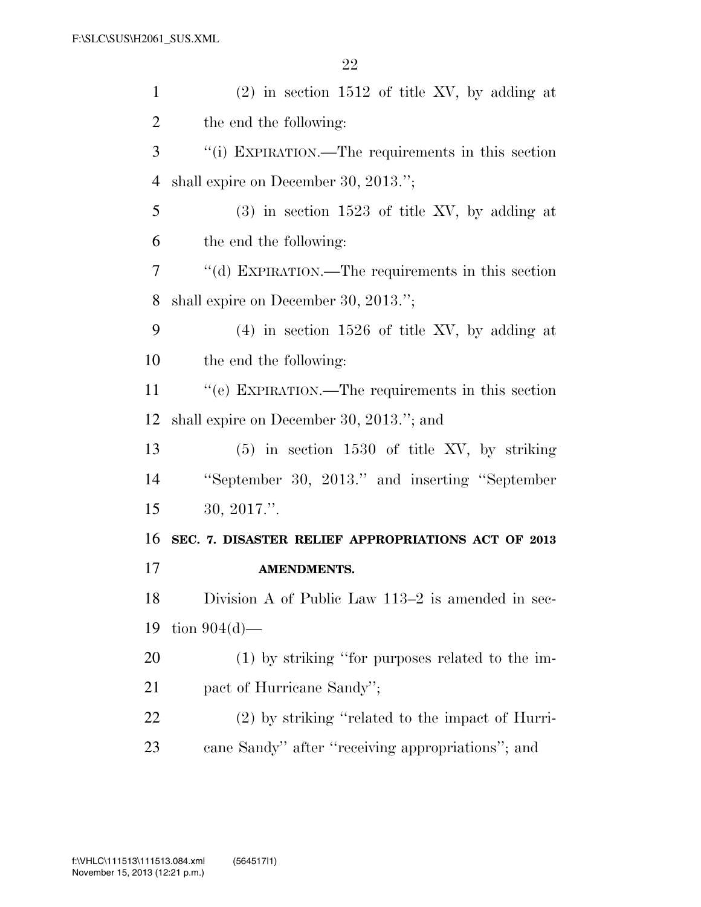| $\mathbf{1}$   | $(2)$ in section 1512 of title XV, by adding at    |
|----------------|----------------------------------------------------|
| $\overline{2}$ | the end the following:                             |
| 3              | "(i) EXPIRATION.—The requirements in this section  |
| 4              | shall expire on December 30, 2013.";               |
| 5              | $(3)$ in section 1523 of title XV, by adding at    |
| 6              | the end the following:                             |
| 7              | "(d) EXPIRATION.—The requirements in this section  |
| 8              | shall expire on December 30, 2013.";               |
| 9              | $(4)$ in section 1526 of title XV, by adding at    |
| 10             | the end the following:                             |
| 11             | "(e) EXPIRATION.—The requirements in this section  |
| 12             | shall expire on December 30, 2013."; and           |
| 13             | $(5)$ in section 1530 of title XV, by striking     |
| 14             | "September 30, 2013." and inserting "September"    |
| 15             | 30, 2017."                                         |
| 16             | SEC. 7. DISASTER RELIEF APPROPRIATIONS ACT OF 2013 |
| 17             | <b>AMENDMENTS.</b>                                 |
| 18             | Division A of Public Law 113–2 is amended in sec-  |
| 19             | tion $904(d)$ —                                    |
| 20             | $(1)$ by striking "for purposes related to the im- |
| 21             | pact of Hurricane Sandy";                          |
| 22             | (2) by striking "related to the impact of Hurri-   |
| 23             | cane Sandy" after "receiving appropriations"; and  |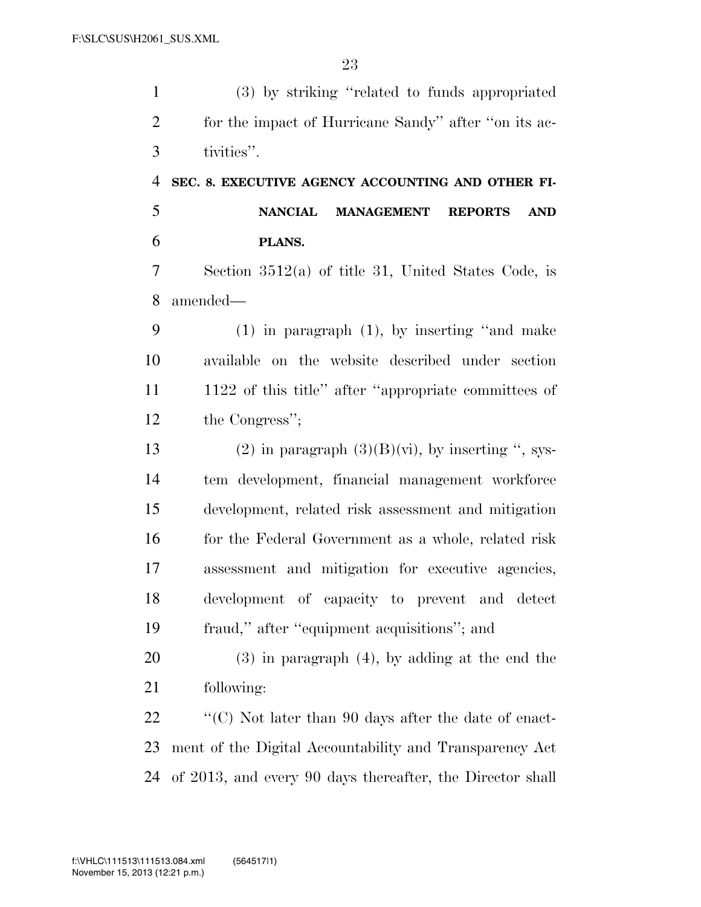(3) by striking ''related to funds appropriated for the impact of Hurricane Sandy'' after ''on its ac- tivities''. **SEC. 8. EXECUTIVE AGENCY ACCOUNTING AND OTHER FI- NANCIAL MANAGEMENT REPORTS AND PLANS.**  Section 3512(a) of title 31, United States Code, is amended— (1) in paragraph (1), by inserting ''and make available on the website described under section 1122 of this title'' after ''appropriate committees of the Congress''; 13 (2) in paragraph  $(3)(B)(vi)$ , by inserting ", sys- tem development, financial management workforce development, related risk assessment and mitigation 16 for the Federal Government as a whole, related risk assessment and mitigation for executive agencies, development of capacity to prevent and detect fraud,'' after ''equipment acquisitions''; and (3) in paragraph (4), by adding at the end the following:  $\bullet$  "(C) Not later than 90 days after the date of enact-ment of the Digital Accountability and Transparency Act

of 2013, and every 90 days thereafter, the Director shall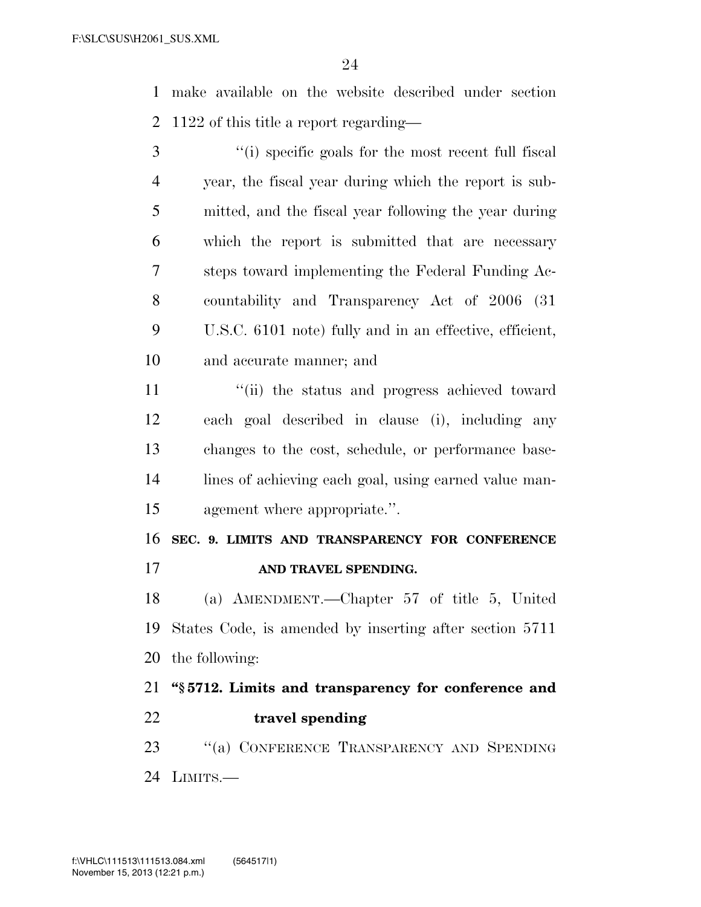make available on the website described under section 1122 of this title a report regarding—

 ''(i) specific goals for the most recent full fiscal year, the fiscal year during which the report is sub- mitted, and the fiscal year following the year during which the report is submitted that are necessary steps toward implementing the Federal Funding Ac- countability and Transparency Act of 2006 (31 U.S.C. 6101 note) fully and in an effective, efficient, and accurate manner; and

11 ''(ii) the status and progress achieved toward each goal described in clause (i), including any changes to the cost, schedule, or performance base- lines of achieving each goal, using earned value man-agement where appropriate.''.

**SEC. 9. LIMITS AND TRANSPARENCY FOR CONFERENCE** 

**AND TRAVEL SPENDING.** 

 (a) AMENDMENT.—Chapter 57 of title 5, United States Code, is amended by inserting after section 5711 the following:

 **''§ 5712. Limits and transparency for conference and travel spending** 

23 "(a) CONFERENCE TRANSPARENCY AND SPENDING LIMITS.—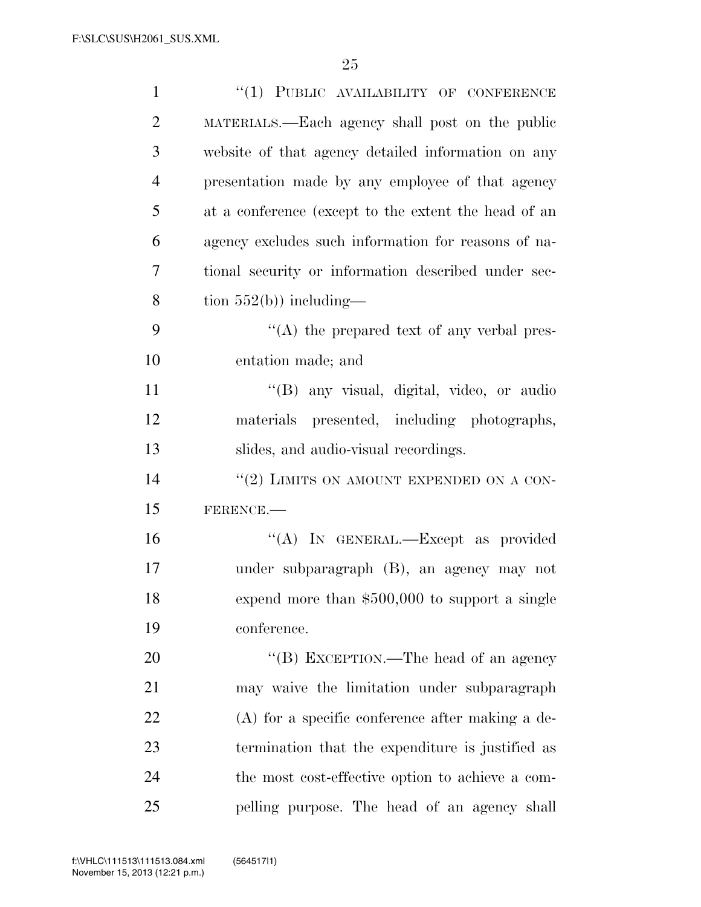| $\mathbf{1}$   | $``(1)$ PUBLIC AVAILABILITY OF CONFERENCE            |
|----------------|------------------------------------------------------|
| $\overline{2}$ | MATERIALS.—Each agency shall post on the public      |
| 3              | website of that agency detailed information on any   |
| $\overline{4}$ | presentation made by any employee of that agency     |
| 5              | at a conference (except to the extent the head of an |
| 6              | agency excludes such information for reasons of na-  |
| 7              | tional security or information described under sec-  |
| 8              | tion $552(b)$ ) including—                           |
| 9              | $\lq\lq$ the prepared text of any verbal pres-       |
| 10             | entation made; and                                   |
| 11             | "(B) any visual, digital, video, or audio            |
| 12             | materials presented, including photographs,          |
| 13             | slides, and audio-visual recordings.                 |
| 14             | "(2) LIMITS ON AMOUNT EXPENDED ON A CON-             |
| 15             | FERENCE.                                             |
| 16             | "(A) IN GENERAL.—Except as provided                  |
| 17             | under subparagraph (B), an agency may not            |
| 18             | expend more than $$500,000$ to support a single      |
| 19             | conference.                                          |
| 20             | "(B) EXCEPTION.—The head of an agency                |
| 21             | may waive the limitation under subparagraph          |
| 22             | $(A)$ for a specific conference after making a de-   |
| 23             | termination that the expenditure is justified as     |
| 24             | the most cost-effective option to achieve a com-     |
| 25             | pelling purpose. The head of an agency shall         |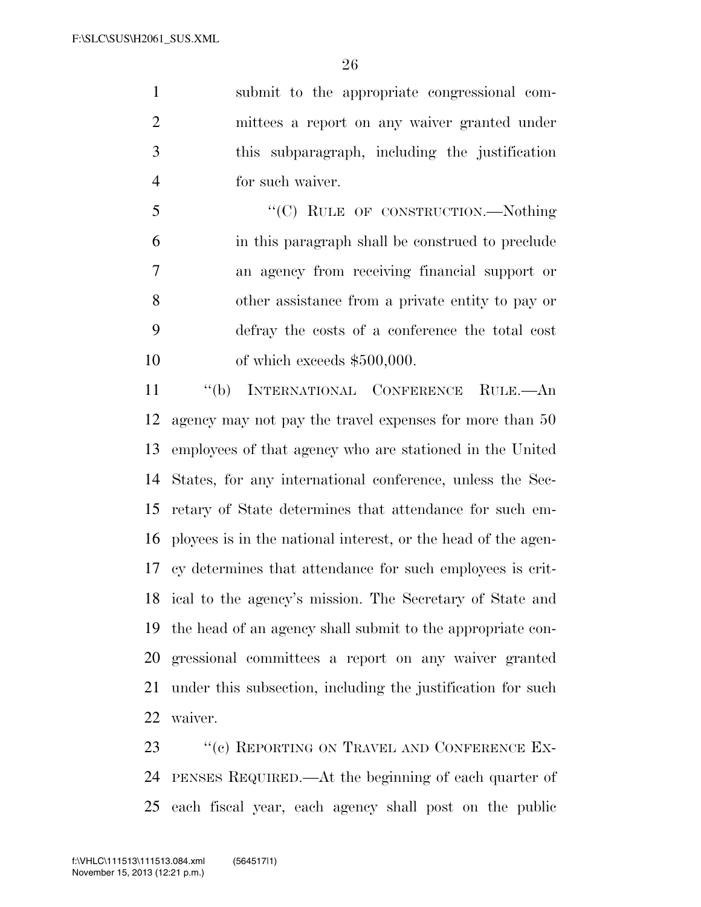submit to the appropriate congressional com- mittees a report on any waiver granted under this subparagraph, including the justification for such waiver.

5 "'(C) RULE OF CONSTRUCTION.—Nothing in this paragraph shall be construed to preclude an agency from receiving financial support or other assistance from a private entity to pay or defray the costs of a conference the total cost of which exceeds \$500,000.

 ''(b) INTERNATIONAL CONFERENCE RULE.—An agency may not pay the travel expenses for more than 50 employees of that agency who are stationed in the United States, for any international conference, unless the Sec- retary of State determines that attendance for such em- ployees is in the national interest, or the head of the agen- cy determines that attendance for such employees is crit- ical to the agency's mission. The Secretary of State and the head of an agency shall submit to the appropriate con- gressional committees a report on any waiver granted under this subsection, including the justification for such waiver.

23 " (c) REPORTING ON TRAVEL AND CONFERENCE EX- PENSES REQUIRED.—At the beginning of each quarter of each fiscal year, each agency shall post on the public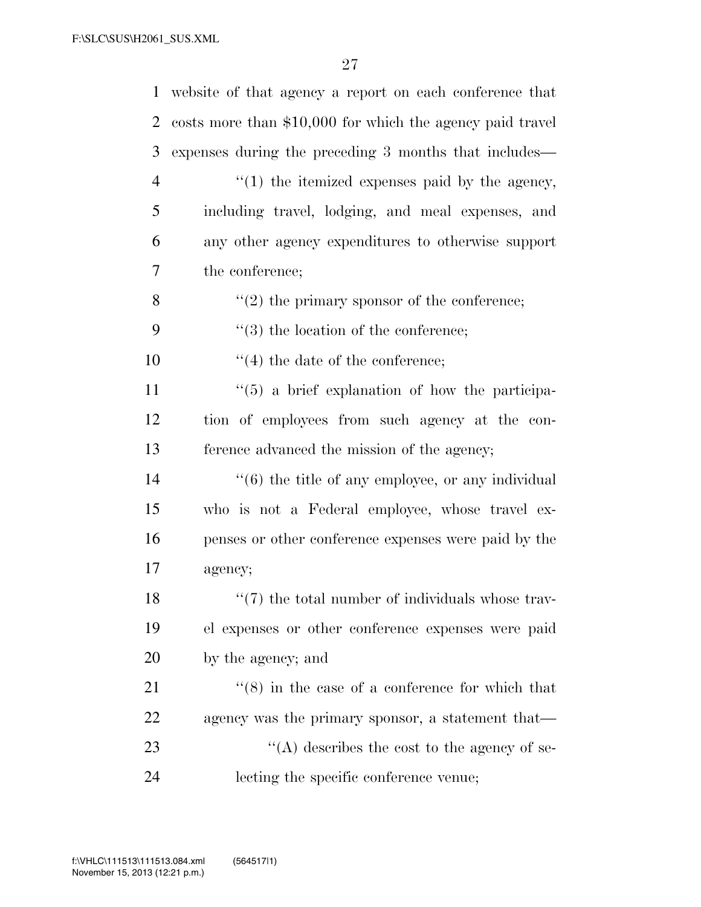|                | 1 website of that agency a report on each conference that     |
|----------------|---------------------------------------------------------------|
| 2              | costs more than \$10,000 for which the agency paid travel     |
| 3              | expenses during the preceding 3 months that includes—         |
| $\overline{4}$ | $\lq(1)$ the itemized expenses paid by the agency,            |
| 5              | including travel, lodging, and meal expenses, and             |
| 6              | any other agency expenditures to otherwise support            |
| 7              | the conference;                                               |
| 8              | $\lq(2)$ the primary sponsor of the conference;               |
| 9              | $\lq(3)$ the location of the conference;                      |
| 10             | $\lq(4)$ the date of the conference;                          |
| 11             | $\cdot\cdot$ (5) a brief explanation of how the participa-    |
| 12             | tion of employees from such agency at the con-                |
| 13             | ference advanced the mission of the agency;                   |
| 14             | $\cdot\cdot$ (6) the title of any employee, or any individual |
| 15             | who is not a Federal employee, whose travel ex-               |
| 16             | penses or other conference expenses were paid by the          |
| 17             | agency;                                                       |
| 18             | $\lq(7)$ the total number of individuals whose trav-          |
| 19             | el expenses or other conference expenses were paid            |
| 20             | by the agency; and                                            |
| 21             | $\cdot\cdot$ (8) in the case of a conference for which that   |
| 22             | agency was the primary sponsor, a statement that—             |
| 23             | "(A) describes the cost to the agency of se-                  |
| 24             | lecting the specific conference venue;                        |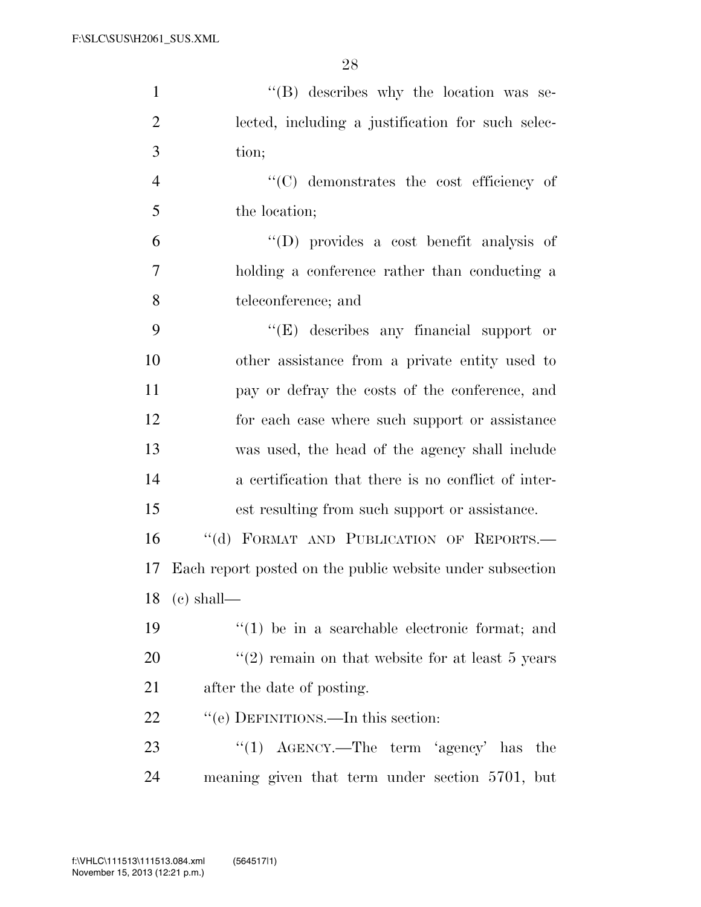| $\mathbf{1}$   | $\lq\lq (B)$ describes why the location was se-           |
|----------------|-----------------------------------------------------------|
| $\overline{2}$ | lected, including a justification for such selec-         |
| 3              | tion;                                                     |
| $\overline{4}$ | $\lq\lq$ demonstrates the cost efficiency of              |
| 5              | the location;                                             |
| 6              | $\lq\lq$ provides a cost benefit analysis of              |
| $\overline{7}$ | holding a conference rather than conducting a             |
| 8              | teleconference; and                                       |
| 9              | $\lq\lq(E)$ describes any financial support or            |
| 10             | other assistance from a private entity used to            |
| 11             | pay or defray the costs of the conference, and            |
| 12             | for each case where such support or assistance            |
| 13             | was used, the head of the agency shall include            |
| 14             | a certification that there is no conflict of inter-       |
| 15             | est resulting from such support or assistance.            |
| 16             | "(d) FORMAT AND PUBLICATION OF REPORTS.-                  |
| 17             | Each report posted on the public website under subsection |
| 18             | $(e)$ shall—                                              |
| 19             | $(1)$ be in a searchable electronic format; and           |
| 20             | $(2)$ remain on that website for at least 5 years         |
| 21             | after the date of posting.                                |
| 22             | "(e) DEFINITIONS.—In this section:                        |
| 23             | "(1) $\text{AGENCY.}$ —The term 'agency' has the          |
| 24             | meaning given that term under section 5701, but           |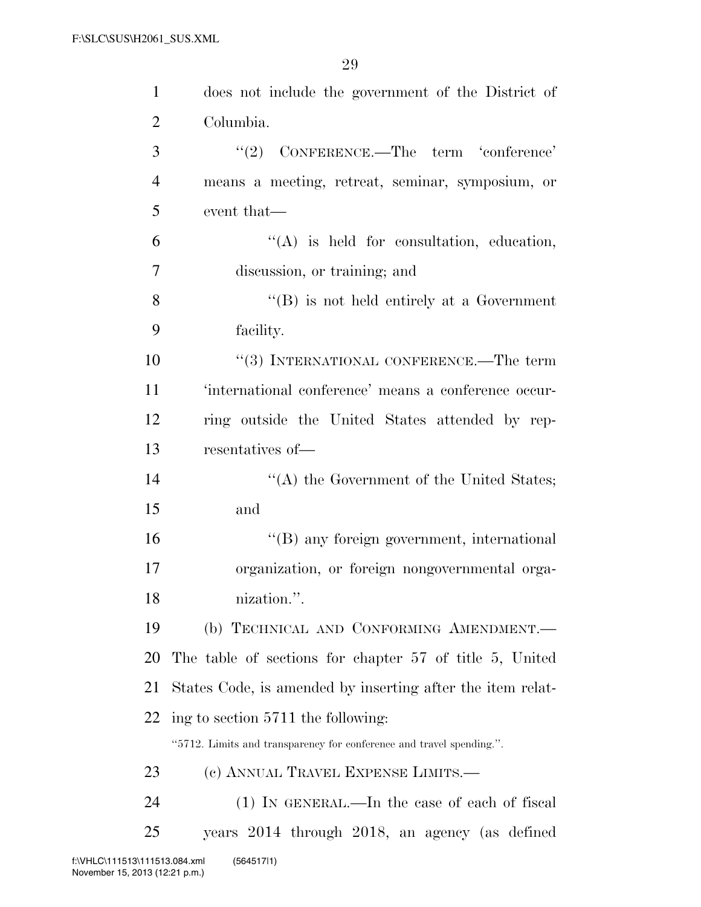| $\mathbf{1}$   | does not include the government of the District of                   |
|----------------|----------------------------------------------------------------------|
| $\overline{2}$ | Columbia.                                                            |
| 3              | $(2)$ CONFERENCE.—The term 'conference'                              |
| $\overline{4}$ | means a meeting, retreat, seminar, symposium, or                     |
| 5              | event that—                                                          |
| 6              | $\lq\lq$ is held for consultation, education,                        |
| 7              | discussion, or training; and                                         |
| 8              | $\lq\lq (B)$ is not held entirely at a Government                    |
| 9              | facility.                                                            |
| 10             | "(3) INTERNATIONAL CONFERENCE.—The term                              |
| 11             | 'international conference' means a conference occur-                 |
| 12             | ring outside the United States attended by rep-                      |
| 13             | resentatives of-                                                     |
| 14             | "(A) the Government of the United States;                            |
| 15             | and                                                                  |
| 16             | "(B) any foreign government, international                           |
| 17             | organization, or foreign nongovernmental orga-                       |
| 18             | nization.".                                                          |
| 19             | (b) TECHNICAL AND CONFORMING AMENDMENT.                              |
| 20             | The table of sections for chapter 57 of title 5, United              |
| 21             | States Code, is amended by inserting after the item relat-           |
| 22             | ing to section 5711 the following:                                   |
|                | "5712. Limits and transparency for conference and travel spending.". |
| 23             | (c) ANNUAL TRAVEL EXPENSE LIMITS.—                                   |
| 24             | $(1)$ In GENERAL.—In the case of each of fiscal                      |
| 25             | years 2014 through 2018, an agency (as defined                       |
|                |                                                                      |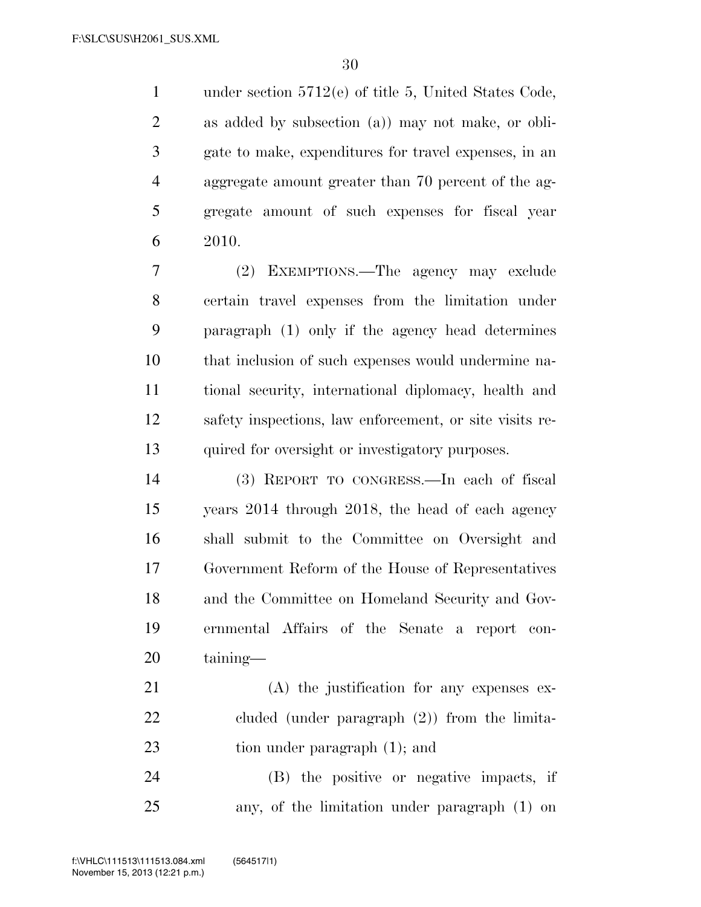1 under section 5712(e) of title 5, United States Code, as added by subsection (a)) may not make, or obli- gate to make, expenditures for travel expenses, in an aggregate amount greater than 70 percent of the ag- gregate amount of such expenses for fiscal year 2010.

 (2) EXEMPTIONS.—The agency may exclude certain travel expenses from the limitation under paragraph (1) only if the agency head determines that inclusion of such expenses would undermine na- tional security, international diplomacy, health and safety inspections, law enforcement, or site visits re-quired for oversight or investigatory purposes.

 (3) REPORT TO CONGRESS.—In each of fiscal years 2014 through 2018, the head of each agency shall submit to the Committee on Oversight and Government Reform of the House of Representatives and the Committee on Homeland Security and Gov- ernmental Affairs of the Senate a report con-taining—

 (A) the justification for any expenses ex- cluded (under paragraph (2)) from the limita-23 tion under paragraph (1); and

 (B) the positive or negative impacts, if any, of the limitation under paragraph (1) on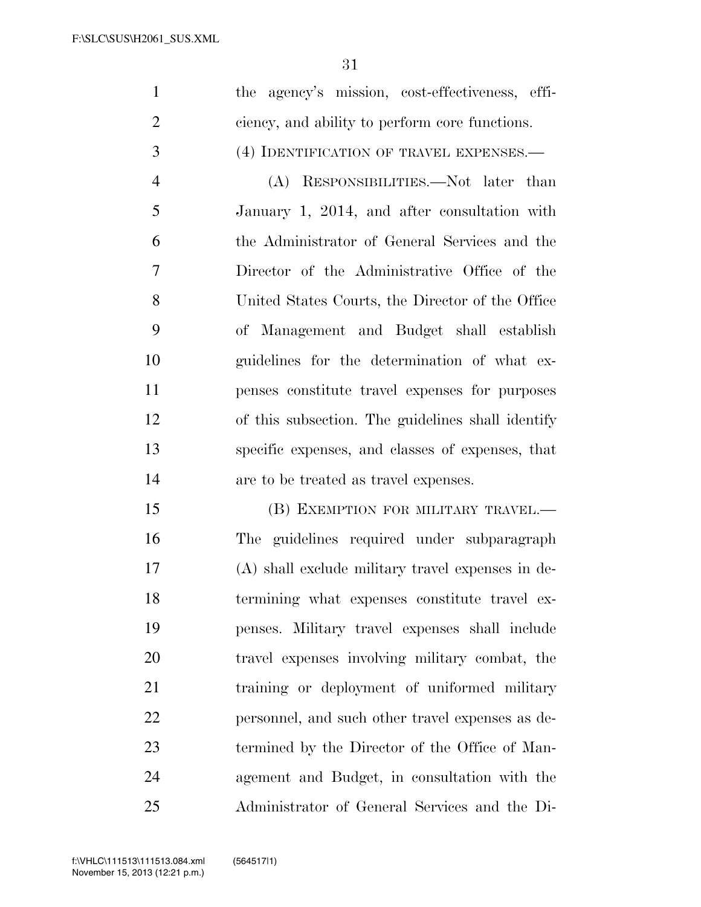$\sim$ 

|                | 31                                                |
|----------------|---------------------------------------------------|
| $\mathbf{1}$   | the agency's mission, cost-effectiveness, effi-   |
| $\overline{2}$ | ciency, and ability to perform core functions.    |
| 3              | (4) IDENTIFICATION OF TRAVEL EXPENSES.            |
| $\overline{4}$ | (A) RESPONSIBILITIES.—Not later than              |
| 5              | January 1, 2014, and after consultation with      |
| 6              | the Administrator of General Services and the     |
| $\tau$         | Director of the Administrative Office of the      |
| 8              | United States Courts, the Director of the Office  |
| 9              | of Management and Budget shall establish          |
| 10             | guidelines for the determination of what ex-      |
| 11             | penses constitute travel expenses for purposes    |
| 12             | of this subsection. The guidelines shall identify |
| 13             | specific expenses, and classes of expenses, that  |
| 14             | are to be treated as travel expenses.             |
| 15             | (B) EXEMPTION FOR MILITARY TRAVEL.—               |
| 16             | The guidelines required under subparagraph        |
| 17             | (A) shall exclude military travel expenses in de- |
| 18             | termining what expenses constitute travel ex-     |
| 19             | penses. Military travel expenses shall include    |
| 20             | travel expenses involving military combat, the    |

training or deployment of uniformed military

personnel, and such other travel expenses as de-

termined by the Director of the Office of Man-

agement and Budget, in consultation with the

Administrator of General Services and the Di-